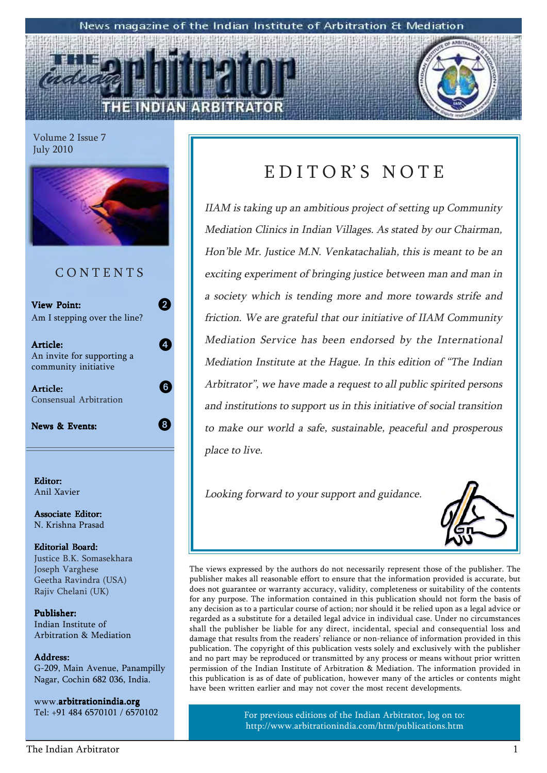#### News magazine of the Indian Institute of Arbitration & Mediation

2

4

8

6



Volume 2 Issue 7 July 2010



### C O N T E N T S

**View Point:** Am I stepping over the line?

Article: Article: An invite for supporting a community initiative

Article: Article: Consensual Arbitration

News & Events:

Editor: Anil Xavier

Associate Editor: N. Krishna Prasad

Editorial Board: Justice B.K. Somasekhara Joseph Varghese Geetha Ravindra (USA) Rajiv Chelani (UK)

Publisher: Indian Institute of Arbitration & Mediation

Address: Address: G-209, Main Avenue, Panampilly Nagar, Cochin 682 036, India.

www.arbitrationindia.org Tel: +91 484 6570101 / 6570102

## EDITOR'S NOTE

IIAM is taking up an ambitious project of setting up Community Mediation Clinics in Indian Villages. As stated by our Chairman, Hon'ble Mr. Justice M.N. Venkatachaliah, this is meant to be an exciting experiment of bringing justice between man and man in a society which is tending more and more towards strife and friction. We are grateful that our initiative of IIAM Community Mediation Service has been endorsed by the International Mediation Institute at the Hague. In this edition of "The Indian Arbitrator", we have made a request to all public spirited persons and institutions to support us in this initiative of social transition to make our world a safe, sustainable, peaceful and prosperous place to live.

Looking forward to your support and guidance.



The views expressed by the authors do not necessarily represent those of the publisher. The publisher makes all reasonable effort to ensure that the information provided is accurate, but does not guarantee or warranty accuracy, validity, completeness or suitability of the contents for any purpose. The information contained in this publication should not form the basis of any decision as to a particular course of action; nor should it be relied upon as a legal advice or regarded as a substitute for a detailed legal advice in individual case. Under no circumstances shall the publisher be liable for any direct, incidental, special and consequential loss and damage that results from the readers' reliance or non-reliance of information provided in this publication. The copyright of this publication vests solely and exclusively with the publisher and no part may be reproduced or transmitted by any process or means without prior written permission of the Indian Institute of Arbitration & Mediation. The information provided in this publication is as of date of publication, however many of the articles or contents might have been written earlier and may not cover the most recent developments.

> For previous editions of the Indian Arbitrator, log on to: http://www.arbitrationindia.com/htm/publications.htm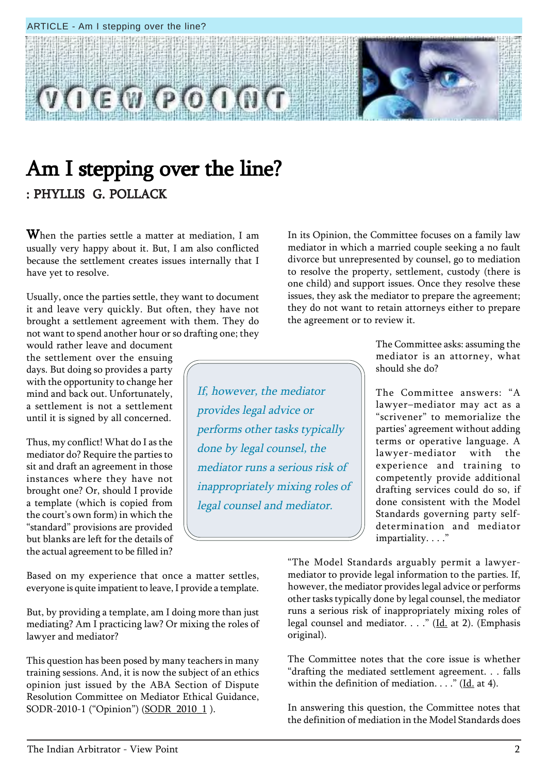Based on my experience that once a matter settles, everyone is quite impatient to leave, I provide a template.

But, by providing a template, am I doing more than just mediating? Am I practicing law? Or mixing the roles of lawyer and mediator?

This question has been posed by many teachers in many training sessions. And, it is now the subject of an ethics opinion just issued by the ABA Section of Dispute Resolution Committee on Mediator Ethical Guidance, SODR-2010-1 ("Opinion") (SODR\_2010\_1 ).

In its Opinion, the Committee focuses on a family law mediator in which a married couple seeking a no fault divorce but unrepresented by counsel, go to mediation to resolve the property, settlement, custody (there is one child) and support issues. Once they resolve these issues, they ask the mediator to prepare the agreement; they do not want to retain attorneys either to prepare the agreement or to review it.

> The Committee asks: assuming the mediator is an attorney, what should she do?

> The Committee answers: "A lawyer-mediator may act as a "scrivener" to memorialize the parties' agreement without adding terms or operative language. A lawyer-mediator with the experience and training to competently provide additional drafting services could do so, if done consistent with the Model Standards governing party selfdetermination and mediator impartiality. . . ."

ìThe Model Standards arguably permit a lawyermediator to provide legal information to the parties. If, however, the mediator provides legal advice or performs other tasks typically done by legal counsel, the mediator runs a serious risk of inappropriately mixing roles of legal counsel and mediator. . . . " ( $\underline{Id.}$  at 2). (Emphasis original).

The Committee notes that the core issue is whether ìdrafting the mediated settlement agreement. . . falls within the definition of mediation.  $\ldots$  " (Id. at 4).

In answering this question, the Committee notes that the definition of mediation in the Model Standards does

## Am I stepping over the line? : PHYLLIS G. POLLACK

When the parties settle a matter at mediation, I am usually very happy about it. But, I am also conflicted because the settlement creates issues internally that I have yet to resolve.

Usually, once the parties settle, they want to document it and leave very quickly. But often, they have not brought a settlement agreement with them. They do not want to spend another hour or so drafting one; they

If, however, the mediator

done by legal counsel, the

performs other tasks typically

mediator runs a serious risk of

inappropriately mixing roles of

legal counsel and mediator.

provides legal advice or

would rather leave and document the settlement over the ensuing days. But doing so provides a party with the opportunity to change her mind and back out. Unfortunately, a settlement is not a settlement until it is signed by all concerned.

Thus, my conflict! What do I as the mediator do? Require the parties to sit and draft an agreement in those instances where they have not brought one? Or, should I provide a template (which is copied from the court's own form) in which the "standard" provisions are provided but blanks are left for the details of the actual agreement to be filled in?

ARTICLE - Am I stepping over the line?

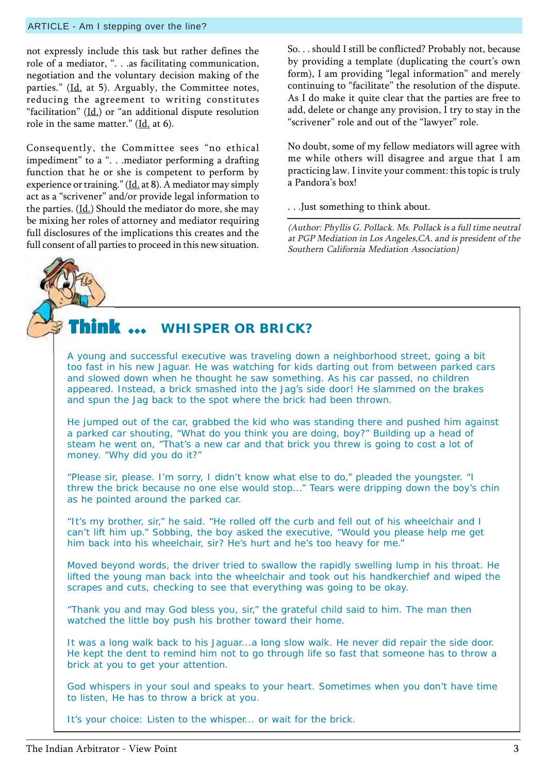#### ARTICLE - Am I stepping over the line?

not expressly include this task but rather defines the role of a mediator, ". . .as facilitating communication, negotiation and the voluntary decision making of the parties." (Id. at 5). Arguably, the Committee notes, reducing the agreement to writing constitutes "facilitation"  $(Id.)$  or "an additional dispute resolution role in the same matter." ( $\underline{Id}$ , at 6).

Consequently, the Committee sees "no ethical impediment" to a ". . .mediator performing a drafting function that he or she is competent to perform by experience or training." ( $\underline{Id}$ , at 8). A mediator may simply act as a "scrivener" and/or provide legal information to the parties.  $(\underline{Id.})$  Should the mediator do more, she may be mixing her roles of attorney and mediator requiring full disclosures of the implications this creates and the full consent of all parties to proceed in this new situation. So. . . should I still be conflicted? Probably not, because by providing a template (duplicating the court's own form), I am providing "legal information" and merely continuing to "facilitate" the resolution of the dispute. As I do make it quite clear that the parties are free to add, delete or change any provision, I try to stay in the "scrivener" role and out of the "lawyer" role.

No doubt, some of my fellow mediators will agree with me while others will disagree and argue that I am practicing law. I invite your comment: this topic is truly a Pandora's box!

. . .Just something to think about.

(Author: Phyllis G. Pollack. Ms. Pollack is a full time neutral at PGP Mediation in Los Angeles,CA. and is president of the Southern California Mediation Association)

#### Think  $\,\cdots\,$ **WHISPER OR BRICK?**

A young and successful executive was traveling down a neighborhood street, going a bit too fast in his new Jaguar. He was watching for kids darting out from between parked cars and slowed down when he thought he saw something. As his car passed, no children appeared. Instead, a brick smashed into the Jag's side door! He slammed on the brakes and spun the Jag back to the spot where the brick had been thrown.

He jumped out of the car, grabbed the kid who was standing there and pushed him against a parked car shouting, "What do you think you are doing, boy?" Building up a head of steam he went on, "That's a new car and that brick you threw is going to cost a lot of money. "Why did you do it?"

"Please sir, please. I'm sorry, I didn't know what else to do," pleaded the youngster. "I threw the brick because no one else would stop..." Tears were dripping down the boy's chin as he pointed around the parked car.

"It's my brother, sir," he said. "He rolled off the curb and fell out of his wheelchair and I can't lift him up." Sobbing, the boy asked the executive, "Would you please help me get him back into his wheelchair, sir? He's hurt and he's too heavy for me."

Moved beyond words, the driver tried to swallow the rapidly swelling lump in his throat. He lifted the young man back into the wheelchair and took out his handkerchief and wiped the scrapes and cuts, checking to see that everything was going to be okay.

"Thank you and may God bless you, sir," the grateful child said to him. The man then watched the little boy push his brother toward their home.

It was a long walk back to his Jaguar...a long slow walk. He never did repair the side door. He kept the dent to remind him not to go through life so fast that someone has to throw a brick at you to get your attention.

God whispers in your soul and speaks to your heart. Sometimes when you don't have time to listen, He has to throw a brick at you.

It's your choice: Listen to the whisper... or wait for the brick.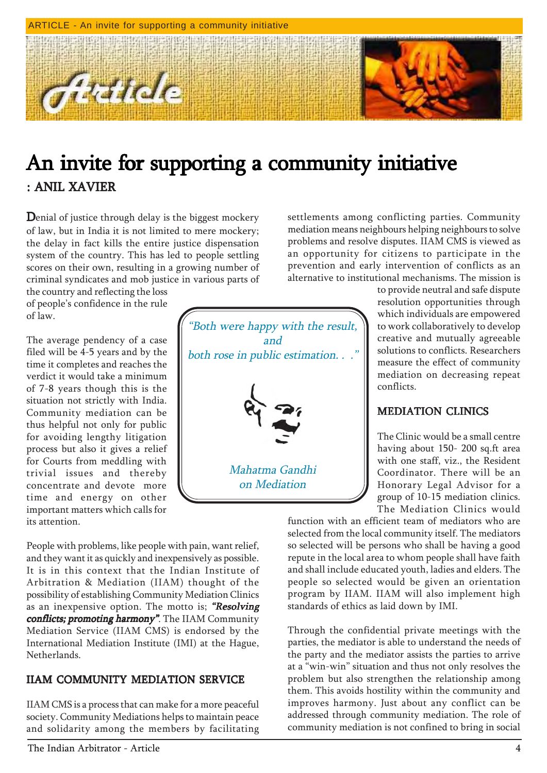

## An invite for supporting a community initiative : ANIL XAVIER

Denial of justice through delay is the biggest mockery of law, but in India it is not limited to mere mockery; the delay in fact kills the entire justice dispensation system of the country. This has led to people settling scores on their own, resulting in a growing number of criminal syndicates and mob justice in various parts of

the country and reflecting the loss of people's confidence in the rule of law.

The average pendency of a case filed will be 4-5 years and by the time it completes and reaches the verdict it would take a minimum of 7-8 years though this is the situation not strictly with India. Community mediation can be thus helpful not only for public for avoiding lengthy litigation process but also it gives a relief for Courts from meddling with trivial issues and thereby concentrate and devote more time and energy on other important matters which calls for its attention.

People with problems, like people with pain, want relief, and they want it as quickly and inexpensively as possible. It is in this context that the Indian Institute of Arbitration & Mediation (IIAM) thought of the possibility of establishing Community Mediation Clinics as an inexpensive option. The motto is; "Resolving conflicts; promoting harmony". The IIAM Community Mediation Service (IIAM CMS) is endorsed by the International Mediation Institute (IMI) at the Hague, Netherlands.

#### IIAM COMMUNITY MEDIATION SERVICE

IIAM CMS is a process that can make for a more peaceful society. Community Mediations helps to maintain peace and solidarity among the members by facilitating

"Both were happy with the result, and both rose in public estimation. . ." Mahatma Gandhi on Mediation

settlements among conflicting parties. Community mediation means neighbours helping neighbours to solve problems and resolve disputes. IIAM CMS is viewed as an opportunity for citizens to participate in the prevention and early intervention of conflicts as an alternative to institutional mechanisms. The mission is

> to provide neutral and safe dispute resolution opportunities through which individuals are empowered to work collaboratively to develop creative and mutually agreeable solutions to conflicts. Researchers measure the effect of community mediation on decreasing repeat conflicts.

#### MEDIATION CLINICS

The Clinic would be a small centre having about 150- 200 sq.ft area with one staff, viz., the Resident Coordinator. There will be an Honorary Legal Advisor for a group of 10-15 mediation clinics. The Mediation Clinics would

function with an efficient team of mediators who are selected from the local community itself. The mediators so selected will be persons who shall be having a good repute in the local area to whom people shall have faith and shall include educated youth, ladies and elders. The people so selected would be given an orientation program by IIAM. IIAM will also implement high standards of ethics as laid down by IMI.

Through the confidential private meetings with the parties, the mediator is able to understand the needs of the party and the mediator assists the parties to arrive at a "win-win" situation and thus not only resolves the problem but also strengthen the relationship among them. This avoids hostility within the community and improves harmony. Just about any conflict can be addressed through community mediation. The role of community mediation is not confined to bring in social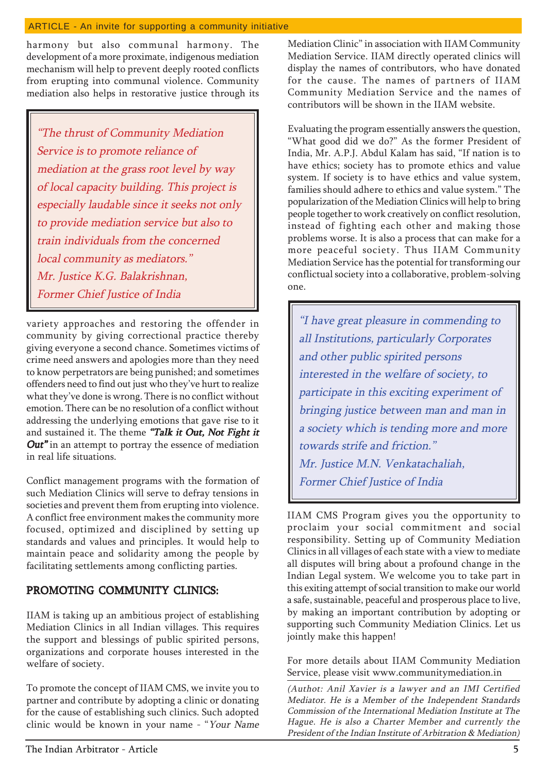#### ARTICLE - An invite for supporting a community initiative

harmony but also communal harmony. The development of a more proximate, indigenous mediation mechanism will help to prevent deeply rooted conflicts from erupting into communal violence. Community mediation also helps in restorative justice through its

"The thrust of Community Mediation Service is to promote reliance of mediation at the grass root level by way of local capacity building. This project is especially laudable since it seeks not only to provide mediation service but also to train individuals from the concerned local community as mediators." Mr. Justice K.G. Balakrishnan, Former Chief Justice of India

variety approaches and restoring the offender in community by giving correctional practice thereby giving everyone a second chance. Sometimes victims of crime need answers and apologies more than they need to know perpetrators are being punished; and sometimes offenders need to find out just who they've hurt to realize what they've done is wrong. There is no conflict without emotion. There can be no resolution of a conflict without addressing the underlying emotions that gave rise to it and sustained it. The theme "Talk it Out, Not Fight it  $Out"$  in an attempt to portray the essence of mediation in real life situations.

Conflict management programs with the formation of such Mediation Clinics will serve to defray tensions in societies and prevent them from erupting into violence. A conflict free environment makes the community more focused, optimized and disciplined by setting up standards and values and principles. It would help to maintain peace and solidarity among the people by facilitating settlements among conflicting parties.

#### PROMOTING COMMUNITY CLINICS:

IIAM is taking up an ambitious project of establishing Mediation Clinics in all Indian villages. This requires the support and blessings of public spirited persons, organizations and corporate houses interested in the welfare of society.

To promote the concept of IIAM CMS, we invite you to partner and contribute by adopting a clinic or donating for the cause of establishing such clinics. Such adopted clinic would be known in your name - "Your Name

Mediation Clinic" in association with IIAM Community Mediation Service. IIAM directly operated clinics will display the names of contributors, who have donated for the cause. The names of partners of IIAM Community Mediation Service and the names of contributors will be shown in the IIAM website.

Evaluating the program essentially answers the question, ìWhat good did we do?î As the former President of India, Mr. A.P.J. Abdul Kalam has said, "If nation is to have ethics; society has to promote ethics and value system. If society is to have ethics and value system, families should adhere to ethics and value system." The popularization of the Mediation Clinics will help to bring people together to work creatively on conflict resolution, instead of fighting each other and making those problems worse. It is also a process that can make for a more peaceful society. Thus IIAM Community Mediation Service has the potential for transforming our conflictual society into a collaborative, problem-solving one.

"I have great pleasure in commending to all Institutions, particularly Corporates and other public spirited persons interested in the welfare of society, to participate in this exciting experiment of bringing justice between man and man in a society which is tending more and more towards strife and friction." Mr. Justice M.N. Venkatachaliah, Former Chief Justice of India

IIAM CMS Program gives you the opportunity to proclaim your social commitment and social responsibility. Setting up of Community Mediation Clinics in all villages of each state with a view to mediate all disputes will bring about a profound change in the Indian Legal system. We welcome you to take part in this exiting attempt of social transition to make our world a safe, sustainable, peaceful and prosperous place to live, by making an important contribution by adopting or supporting such Community Mediation Clinics. Let us jointly make this happen!

For more details about IIAM Community Mediation Service, please visit www.communitymediation.in

(Authot: Anil Xavier is a lawyer and an IMI Certified Mediator. He is a Member of the Independent Standards Commission of the International Mediation Institute at The Hague. He is also a Charter Member and currently the President of the Indian Institute of Arbitration & Mediation)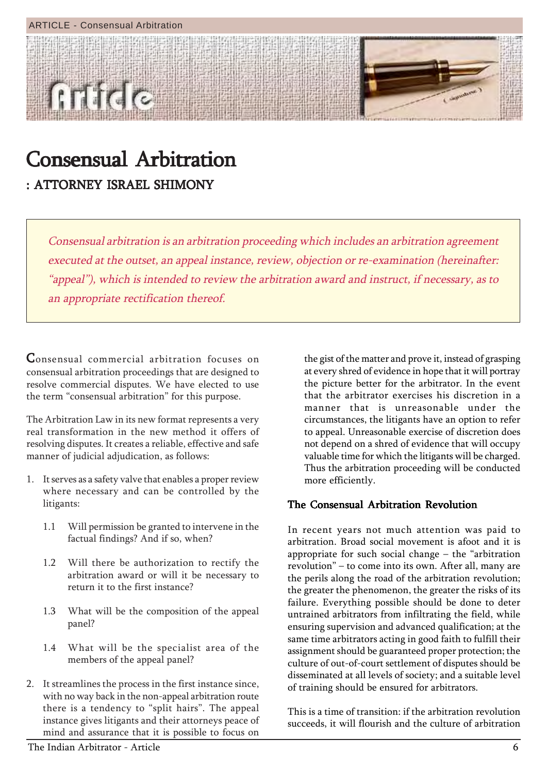

# Consensual Arbitration Consensual Arbitration

: ATTORNEY ISRAEL SHIMONY

Consensual arbitration is an arbitration proceeding which includes an arbitration agreement executed at the outset, an appeal instance, review, objection or re-examination (hereinafter: "appeal"), which is intended to review the arbitration award and instruct, if necessary, as to an appropriate rectification thereof.

Consensual commercial arbitration focuses on consensual arbitration proceedings that are designed to resolve commercial disputes. We have elected to use the term "consensual arbitration" for this purpose.

The Arbitration Law in its new format represents a very real transformation in the new method it offers of resolving disputes. It creates a reliable, effective and safe manner of judicial adjudication, as follows:

- 1. It serves as a safety valve that enables a proper review where necessary and can be controlled by the litigants:
	- 1.1 Will permission be granted to intervene in the factual findings? And if so, when?
	- 1.2 Will there be authorization to rectify the arbitration award or will it be necessary to return it to the first instance?
	- 1.3 What will be the composition of the appeal panel?
	- 1.4 What will be the specialist area of the members of the appeal panel?
- 2. It streamlines the process in the first instance since, with no way back in the non-appeal arbitration route there is a tendency to "split hairs". The appeal instance gives litigants and their attorneys peace of mind and assurance that it is possible to focus on

the gist of the matter and prove it, instead of grasping at every shred of evidence in hope that it will portray the picture better for the arbitrator. In the event that the arbitrator exercises his discretion in a manner that is unreasonable under the circumstances, the litigants have an option to refer to appeal. Unreasonable exercise of discretion does not depend on a shred of evidence that will occupy valuable time for which the litigants will be charged. Thus the arbitration proceeding will be conducted more efficiently.

## The Consensual Arbitration Revolution

In recent years not much attention was paid to arbitration. Broad social movement is afoot and it is appropriate for such social change  $-$  the "arbitration revolution" – to come into its own. After all, many are the perils along the road of the arbitration revolution; the greater the phenomenon, the greater the risks of its failure. Everything possible should be done to deter untrained arbitrators from infiltrating the field, while ensuring supervision and advanced qualification; at the same time arbitrators acting in good faith to fulfill their assignment should be guaranteed proper protection; the culture of out-of-court settlement of disputes should be disseminated at all levels of society; and a suitable level of training should be ensured for arbitrators.

This is a time of transition: if the arbitration revolution succeeds, it will flourish and the culture of arbitration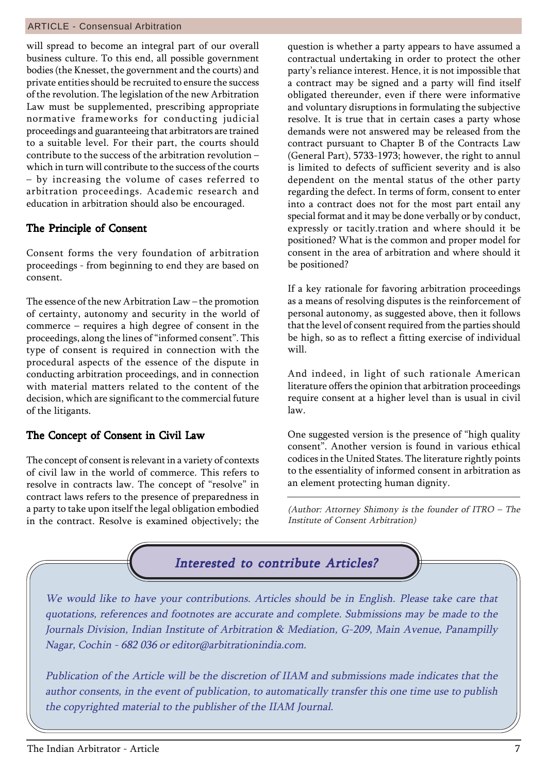#### ARTICLE - Consensual Arbitration

will spread to become an integral part of our overall business culture. To this end, all possible government bodies (the Knesset, the government and the courts) and private entities should be recruited to ensure the success of the revolution. The legislation of the new Arbitration Law must be supplemented, prescribing appropriate normative frameworks for conducting judicial proceedings and guaranteeing that arbitrators are trained to a suitable level. For their part, the courts should contribute to the success of the arbitration revolution  $$ which in turn will contribute to the success of the courts - by increasing the volume of cases referred to arbitration proceedings. Academic research and education in arbitration should also be encouraged.

#### The Principle of Consent

Consent forms the very foundation of arbitration proceedings - from beginning to end they are based on consent.

The essence of the new Arbitration  $Law$  – the promotion of certainty, autonomy and security in the world of  $commence - requires a high degree of constant in the$ proceedings, along the lines of "informed consent". This type of consent is required in connection with the procedural aspects of the essence of the dispute in conducting arbitration proceedings, and in connection with material matters related to the content of the decision, which are significant to the commercial future of the litigants.

#### The Concept of Consent in Civil Law

The concept of consent is relevant in a variety of contexts of civil law in the world of commerce. This refers to resolve in contracts law. The concept of "resolve" in contract laws refers to the presence of preparedness in a party to take upon itself the legal obligation embodied in the contract. Resolve is examined objectively; the

question is whether a party appears to have assumed a contractual undertaking in order to protect the other party's reliance interest. Hence, it is not impossible that a contract may be signed and a party will find itself obligated thereunder, even if there were informative and voluntary disruptions in formulating the subjective resolve. It is true that in certain cases a party whose demands were not answered may be released from the contract pursuant to Chapter B of the Contracts Law (General Part), 5733-1973; however, the right to annul is limited to defects of sufficient severity and is also dependent on the mental status of the other party regarding the defect. In terms of form, consent to enter into a contract does not for the most part entail any special format and it may be done verbally or by conduct, expressly or tacitly.tration and where should it be positioned? What is the common and proper model for consent in the area of arbitration and where should it be positioned?

If a key rationale for favoring arbitration proceedings as a means of resolving disputes is the reinforcement of personal autonomy, as suggested above, then it follows that the level of consent required from the parties should be high, so as to reflect a fitting exercise of individual will.

And indeed, in light of such rationale American literature offers the opinion that arbitration proceedings require consent at a higher level than is usual in civil law.

One suggested version is the presence of "high quality" consent". Another version is found in various ethical codices in the United States. The literature rightly points to the essentiality of informed consent in arbitration as an element protecting human dignity.

(Author: Attorney Shimony is the founder of ITRO  $-$  The Institute of Consent Arbitration)

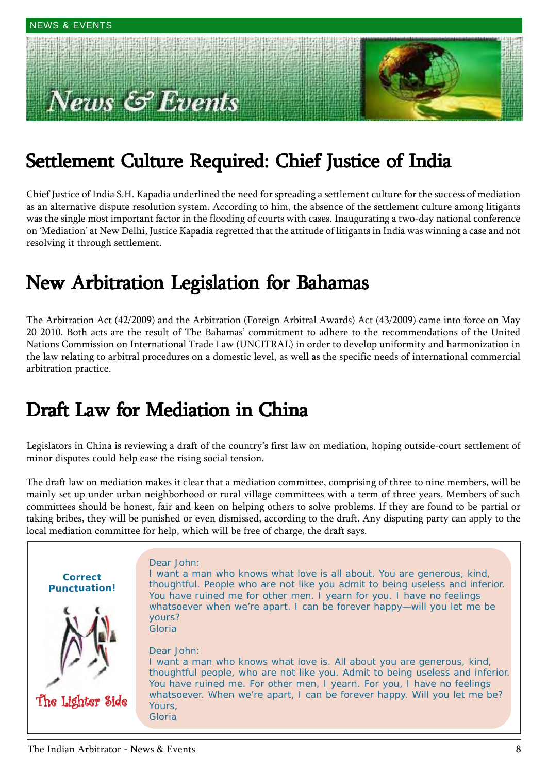# $\mathit{ws} \otimes \mathit{Events}$



## Settlement Culture Required: Chief Justice of India

Chief Justice of India S.H. Kapadia underlined the need for spreading a settlement culture for the success of mediation as an alternative dispute resolution system. According to him, the absence of the settlement culture among litigants was the single most important factor in the flooding of courts with cases. Inaugurating a two-day national conference on 'Mediation' at New Delhi, Justice Kapadia regretted that the attitude of litigants in India was winning a case and not resolving it through settlement.

## New Arbitration Legislation for Bahamas

The Arbitration Act (42/2009) and the Arbitration (Foreign Arbitral Awards) Act (43/2009) came into force on May 20 2010. Both acts are the result of The Bahamasí commitment to adhere to the recommendations of the United Nations Commission on International Trade Law (UNCITRAL) in order to develop uniformity and harmonization in the law relating to arbitral procedures on a domestic level, as well as the specific needs of international commercial arbitration practice.

## Draft Law for Mediation in China

Legislators in China is reviewing a draft of the country's first law on mediation, hoping outside-court settlement of minor disputes could help ease the rising social tension.

The draft law on mediation makes it clear that a mediation committee, comprising of three to nine members, will be mainly set up under urban neighborhood or rural village committees with a term of three years. Members of such committees should be honest, fair and keen on helping others to solve problems. If they are found to be partial or taking bribes, they will be punished or even dismissed, according to the draft. Any disputing party can apply to the local mediation committee for help, which will be free of charge, the draft says.